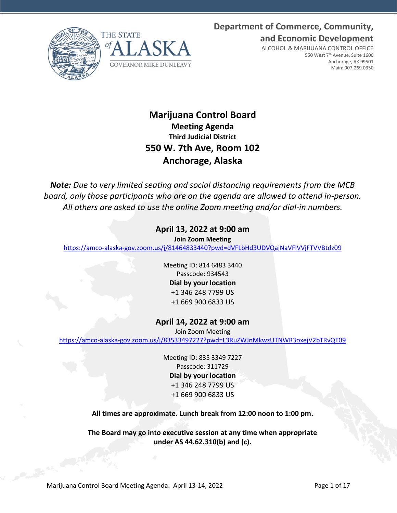**Department of Commerce, Community, and Economic Development**





ALCOHOL & MARIJUANA CONTROL OFFICE 550 West 7<sup>th</sup> Avenue, Suite 1600 Anchorage, AK 99501 Main: 907.269.0350

# **Marijuana Control Board Meeting Agenda Third Judicial District 550 W. 7th Ave, Room 102 Anchorage, Alaska**

*Note: Due to very limited seating and social distancing requirements from the MCB board, only those participants who are on the agenda are allowed to attend in-person. All others are asked to use the online Zoom meeting and/or dial-in numbers.*

# **April 13, 2022 at 9:00 am**

**Join Zoom Meeting**

<https://amco-alaska-gov.zoom.us/j/81464833440?pwd=dVFLbHd3UDVQajNaVFlVVjFTVVBtdz09>

Meeting ID: 814 6483 3440 Passcode: 934543 **Dial by your location** +1 346 248 7799 US +1 669 900 6833 US

# **April 14, 2022 at 9:00 am**

Join Zoom Meeting

<https://amco-alaska-gov.zoom.us/j/83533497227?pwd=L3RuZWJnMkwzUTNWR3oxejV2bTRvQT09>

Meeting ID: 835 3349 7227 Passcode: 311729 **Dial by your location** +1 346 248 7799 US +1 669 900 6833 US

**All times are approximate. Lunch break from 12:00 noon to 1:00 pm.**

**The Board may go into executive session at any time when appropriate under AS 44.62.310(b) and (c).**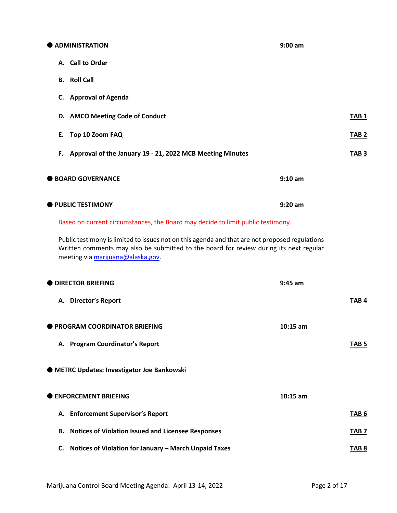**ADMINISTRATION 9:00 am A. Call to Order B. Roll Call C. Approval of Agenda D. AMCO** Meeting Code of Conduct **TAB 1 E. Top 10 Zoom FAQ** TAB 2 **F. Approval of the January 19 - 21, 2022 MCB Meeting Minutes TAB 3 BOARD GOVERNANCE 9:10 am PUBLIC TESTIMONY 9:20 am**

Based on current circumstances, the Board may decide to limit public testimony.

Public testimony is limited to issues not on this agenda and that are not proposed regulations Written comments may also be submitted to the board for review during its next regular meeting vi[a marijuana@alaska.gov.](mailto:marijuana@alaska.gov)

| <b>DIRECTOR BRIEFING</b>                                        | $9:45$ am        |
|-----------------------------------------------------------------|------------------|
| A. Director's Report                                            | TAB <sub>4</sub> |
| <b>PROGRAM COORDINATOR BRIEFING</b>                             | $10:15$ am       |
| A. Program Coordinator's Report                                 | TAB <sub>5</sub> |
| ● METRC Updates: Investigator Joe Bankowski                     |                  |
| <b>ENFORCEMENT BRIEFING</b>                                     | $10:15$ am       |
| A. Enforcement Supervisor's Report                              | TAB <sub>6</sub> |
| <b>Notices of Violation Issued and Licensee Responses</b><br>В. | TAB <sub>7</sub> |
| Notices of Violation for January - March Unpaid Taxes<br>C.     | TAB <sub>8</sub> |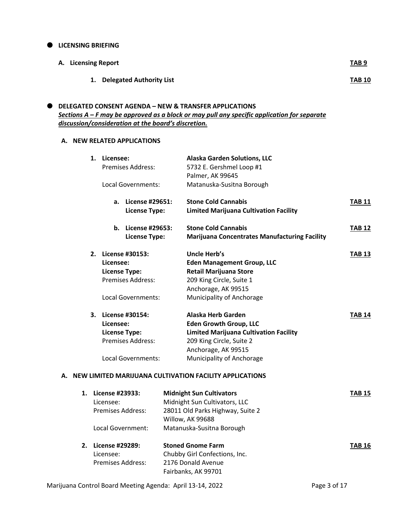#### $\bullet$  LICENSING BRIEFING

| A. Licensing Report |                             | <b>TAB9</b>   |
|---------------------|-----------------------------|---------------|
|                     | 1. Delegated Authority List | <b>TAB 10</b> |

# **DELEGATED CONSENT AGENDA – NEW & TRANSFER APPLICATIONS** *Sections A – F may be approved as a block or may pull any specific application for separate discussion/consideration at the board's discretion.*

## **A. NEW RELATED APPLICATIONS**

|  | 1. Licensee:                      | <b>Premises Address:</b>                                             | <b>Alaska Garden Solutions, LLC</b><br>5732 E. Gershmel Loop #1<br>Palmer, AK 99645                                                                                                  |               |
|--|-----------------------------------|----------------------------------------------------------------------|--------------------------------------------------------------------------------------------------------------------------------------------------------------------------------------|---------------|
|  |                                   | Local Governments:                                                   | Matanuska-Susitna Borough                                                                                                                                                            |               |
|  | a.                                | License #29651:<br><b>License Type:</b>                              | <b>Stone Cold Cannabis</b><br><b>Limited Marijuana Cultivation Facility</b>                                                                                                          | <b>TAB 11</b> |
|  |                                   | <b>b.</b> License #29653:<br><b>License Type:</b>                    | <b>Stone Cold Cannabis</b><br><b>Marijuana Concentrates Manufacturing Facility</b>                                                                                                   | <b>TAB 12</b> |
|  | Licensee:<br><b>License Type:</b> | 2. License #30153:<br><b>Premises Address:</b><br>Local Governments: | Uncle Herb's<br><b>Eden Management Group, LLC</b><br><b>Retail Marijuana Store</b><br>209 King Circle, Suite 1<br>Anchorage, AK 99515<br>Municipality of Anchorage                   | <b>TAB 13</b> |
|  | Licensee:<br><b>License Type:</b> | 3. License #30154:<br>Premises Address:<br>Local Governments:        | Alaska Herb Garden<br><b>Eden Growth Group, LLC</b><br><b>Limited Marijuana Cultivation Facility</b><br>209 King Circle, Suite 2<br>Anchorage, AK 99515<br>Municipality of Anchorage | <b>TAB 14</b> |
|  |                                   |                                                                      | A. NEW LIMITED MARIJUANA CULTIVATION FACILITY APPLICATIONS                                                                                                                           |               |
|  | 1. License #23933:<br>Licensee:   | <b>Premises Address:</b><br>Local Government:                        | <b>Midnight Sun Cultivators</b><br>Midnight Sun Cultivators, LLC<br>28011 Old Parks Highway, Suite 2<br>Willow, AK 99688<br>Matanuska-Susitna Borough                                | <b>TAB 15</b> |
|  | 2. License #29289:<br>Licensee:   | Premises Address:                                                    | <b>Stoned Gnome Farm</b><br>Chubby Girl Confections, Inc.<br>2176 Donald Avenue                                                                                                      | <b>TAB 16</b> |

Fairbanks, AK 99701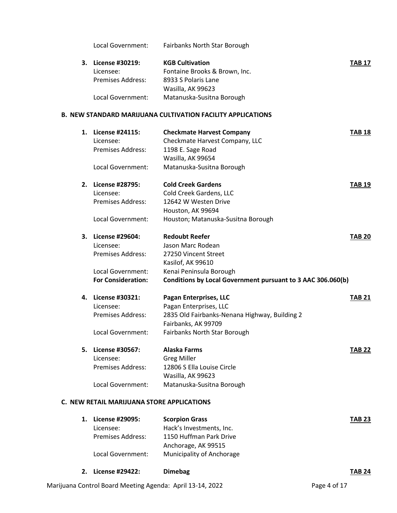Local Government: Fairbanks North Star Borough

| 3. | License #30219:   | <b>KGB Cultivation</b>        | <b>TAB 17</b> |
|----|-------------------|-------------------------------|---------------|
|    | Licensee:         | Fontaine Brooks & Brown, Inc. |               |
|    | Premises Address: | 8933 S Polaris Lane           |               |
|    |                   | Wasilla, AK 99623             |               |
|    | Local Government: | Matanuska-Susitna Borough     |               |

#### **B. NEW STANDARD MARIJUANA CULTIVATION FACILITY APPLICATIONS**

| 1. | License #24115:<br>Licensee:<br><b>Premises Address:</b><br>Local Government:                              | <b>Checkmate Harvest Company</b><br>Checkmate Harvest Company, LLC<br>1198 E. Sage Road<br>Wasilla, AK 99654<br>Matanuska-Susitna Borough                                         | <b>TAB 18</b> |
|----|------------------------------------------------------------------------------------------------------------|-----------------------------------------------------------------------------------------------------------------------------------------------------------------------------------|---------------|
| 2. | License #28795:<br>Licensee:<br><b>Premises Address:</b><br>Local Government:                              | <b>Cold Creek Gardens</b><br>Cold Creek Gardens, LLC<br>12642 W Westen Drive<br>Houston, AK 99694<br>Houston; Matanuska-Susitna Borough                                           | <b>TAB 19</b> |
| 3. | License #29604:<br>Licensee:<br><b>Premises Address:</b><br>Local Government:<br><b>For Consideration:</b> | <b>Redoubt Reefer</b><br>Jason Marc Rodean<br>27250 Vincent Street<br>Kasilof, AK 99610<br>Kenai Peninsula Borough<br>Conditions by Local Government pursuant to 3 AAC 306.060(b) | <b>TAB 20</b> |
| 4. | License #30321:<br>Licensee:<br><b>Premises Address:</b><br>Local Government:                              | <b>Pagan Enterprises, LLC</b><br>Pagan Enterprises, LLC<br>2835 Old Fairbanks-Nenana Highway, Building 2<br>Fairbanks, AK 99709<br>Fairbanks North Star Borough                   | <b>TAB 21</b> |
| 5. | <b>License #30567:</b><br>Licensee:<br><b>Premises Address:</b><br>Local Government:                       | <b>Alaska Farms</b><br><b>Greg Miller</b><br>12806 S Ella Louise Circle<br>Wasilla, AK 99623<br>Matanuska-Susitna Borough                                                         | <b>TAB 22</b> |

### **C. NEW RETAIL MARIJUANA STORE APPLICATIONS**

| License #29095:   | <b>Scorpion Grass</b>            | <b>TAB 23</b> |
|-------------------|----------------------------------|---------------|
| Licensee:         | Hack's Investments, Inc.         |               |
| Premises Address: | 1150 Huffman Park Drive          |               |
|                   | Anchorage, AK 99515              |               |
| Local Government: | <b>Municipality of Anchorage</b> |               |

**2. License #29422: Dimebag TAB 24**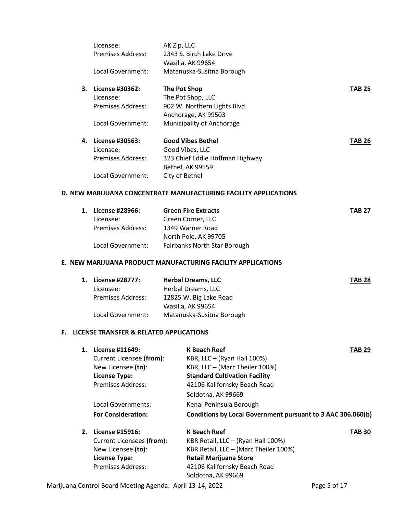|    | Licensee:         | AK Zip, LLC                      |        |
|----|-------------------|----------------------------------|--------|
|    | Premises Address: | 2343 S. Birch Lake Drive         |        |
|    |                   | Wasilla, AK 99654                |        |
|    | Local Government: | Matanuska-Susitna Borough        |        |
| 3. | License #30362:   | The Pot Shop                     | TAB 25 |
|    | Licensee:         | The Pot Shop, LLC                |        |
|    | Premises Address: | 902 W. Northern Lights Blvd.     |        |
|    |                   | Anchorage, AK 99503              |        |
|    | Local Government: | <b>Municipality of Anchorage</b> |        |
| 4. | License #30563:   | <b>Good Vibes Bethel</b>         | TAB 26 |
|    | Licensee:         | Good Vibes, LLC                  |        |
|    | Premises Address: | 323 Chief Eddie Hoffman Highway  |        |
|    |                   | Bethel, AK 99559                 |        |
|    | Local Government: | City of Bethel                   |        |

# **D. NEW MARIJUANA CONCENTRATE MANUFACTURING FACILITY APPLICATIONS**

| 1. | <b>License #28966:</b>   | <b>Green Fire Extracts</b>   | <b>TAB 27</b> |
|----|--------------------------|------------------------------|---------------|
|    | Licensee:                | Green Corner, LLC            |               |
|    | <b>Premises Address:</b> | 1349 Warner Road             |               |
|    |                          | North Pole, AK 99705         |               |
|    | Local Government:        | Fairbanks North Star Borough |               |

#### **E. NEW MARIJUANA PRODUCT MANUFACTURING FACILITY APPLICATIONS**

| 1. License #28777:       | <b>Herbal Dreams, LLC</b> | <b>TAB 28</b> |
|--------------------------|---------------------------|---------------|
| Licensee:                | Herbal Dreams, LLC        |               |
| <b>Premises Address:</b> | 12825 W. Big Lake Road    |               |
|                          | Wasilla, AK 99654         |               |
| Local Government:        | Matanuska-Susitna Borough |               |

# **F. LICENSE TRANSFER & RELATED APPLICATIONS**

| 1. | License #11649:           | <b>K Beach Reef</b><br><b>TAB 29</b>                        |  |
|----|---------------------------|-------------------------------------------------------------|--|
|    | Current Licensee (from):  | KBR, LLC $-$ (Ryan Hall 100%)                               |  |
|    | New Licensee (to):        | KBR, LLC - (Marc Theiler 100%)                              |  |
|    | <b>License Type:</b>      | <b>Standard Cultivation Facility</b>                        |  |
|    | <b>Premises Address:</b>  | 42106 Kalifornsky Beach Road                                |  |
|    |                           | Soldotna, AK 99669                                          |  |
|    | Local Governments:        | Kenai Peninsula Borough                                     |  |
|    | <b>For Consideration:</b> | Conditions by Local Government pursuant to 3 AAC 306.060(b) |  |

| 2. | License #15916:           | K Beach Reef                          | <b>TAB 30</b> |
|----|---------------------------|---------------------------------------|---------------|
|    |                           |                                       |               |
|    | Current Licensees (from): | KBR Retail, LLC - (Ryan Hall 100%)    |               |
|    | New Licensee (to):        | KBR Retail, LLC - (Marc Theiler 100%) |               |
|    | <b>License Type:</b>      | <b>Retail Marijuana Store</b>         |               |
|    | <b>Premises Address:</b>  | 42106 Kalifornsky Beach Road          |               |
|    |                           | Soldotna, AK 99669                    |               |

Marijuana Control Board Meeting Agenda: April 13-14, 2022 **Page 5 of 17**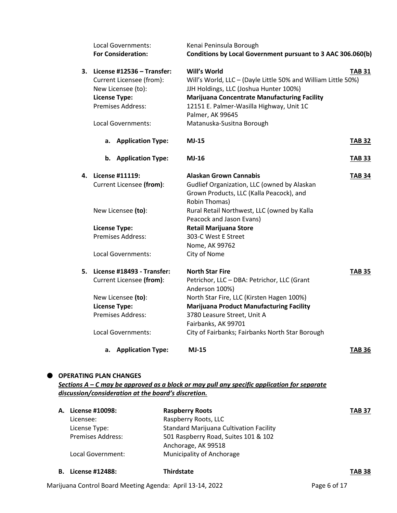|    | Local Governments:<br><b>For Consideration:</b>                                                                                                 | Kenai Peninsula Borough<br>Conditions by Local Government pursuant to 3 AAC 306.060(b)                                                                                                                                                                                                                  |               |
|----|-------------------------------------------------------------------------------------------------------------------------------------------------|---------------------------------------------------------------------------------------------------------------------------------------------------------------------------------------------------------------------------------------------------------------------------------------------------------|---------------|
| 3. | License #12536 - Transfer:<br>Current Licensee (from):<br>New Licensee (to):<br><b>License Type:</b><br>Premises Address:<br>Local Governments: | Will's World<br>Will's World, LLC - (Dayle Little 50% and William Little 50%)<br>JJH Holdings, LLC (Joshua Hunter 100%)<br><b>Marijuana Concentrate Manufacturing Facility</b><br>12151 E. Palmer-Wasilla Highway, Unit 1C<br>Palmer, AK 99645<br>Matanuska-Susitna Borough                             | TAB 31        |
|    | <b>Application Type:</b><br>а.                                                                                                                  | <b>MJ-15</b>                                                                                                                                                                                                                                                                                            | <b>TAB 32</b> |
|    | b.<br><b>Application Type:</b>                                                                                                                  | <b>MJ-16</b>                                                                                                                                                                                                                                                                                            | <b>TAB 33</b> |
| 4. | License #11119:<br>Current Licensee (from):<br>New Licensee (to):<br><b>License Type:</b><br><b>Premises Address:</b><br>Local Governments:     | Alaskan Grown Cannabis<br>Gudlief Organization, LLC (owned by Alaskan<br>Grown Products, LLC (Kalla Peacock), and<br>Robin Thomas)<br>Rural Retail Northwest, LLC (owned by Kalla<br>Peacock and Jason Evans)<br><b>Retail Marijuana Store</b><br>303-C West E Street<br>Nome, AK 99762<br>City of Nome | <b>TAB 34</b> |
| 5. | License #18493 - Transfer:<br>Current Licensee (from):<br>New Licensee (to):<br><b>License Type:</b><br>Premises Address:<br>Local Governments: | <b>North Star Fire</b><br>Petrichor, LLC - DBA: Petrichor, LLC (Grant<br>Anderson 100%)<br>North Star Fire, LLC (Kirsten Hagen 100%)<br><b>Marijuana Product Manufacturing Facility</b><br>3780 Leasure Street, Unit A<br>Fairbanks, AK 99701<br>City of Fairbanks; Fairbanks North Star Borough        | TAB 35        |
|    | <b>Application Type:</b><br>а.                                                                                                                  | <b>MJ-15</b>                                                                                                                                                                                                                                                                                            | TAB 36        |

## **OPERATING PLAN CHANGES**

*Sections A – C may be approved as a block or may pull any specific application for separate discussion/consideration at the board's discretion.*

| А. | License #10098:          | <b>Raspberry Roots</b>                         | <b>TAB 37</b> |
|----|--------------------------|------------------------------------------------|---------------|
|    | Licensee:                | Raspberry Roots, LLC                           |               |
|    | License Type:            | <b>Standard Marijuana Cultivation Facility</b> |               |
|    | <b>Premises Address:</b> | 501 Raspberry Road, Suites 101 & 102           |               |
|    |                          | Anchorage, AK 99518                            |               |
|    | Local Government:        | <b>Municipality of Anchorage</b>               |               |
|    |                          |                                                |               |
|    |                          |                                                |               |

**B. License #12488: Thirdstate TAB 38**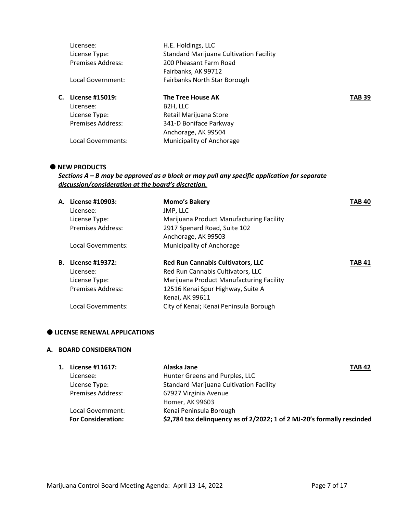|    | Licensee:                | H.E. Holdings, LLC                             |               |
|----|--------------------------|------------------------------------------------|---------------|
|    | License Type:            | <b>Standard Marijuana Cultivation Facility</b> |               |
|    | <b>Premises Address:</b> | 200 Pheasant Farm Road                         |               |
|    |                          | Fairbanks, AK 99712                            |               |
|    | Local Government:        | Fairbanks North Star Borough                   |               |
| С. | License #15019:          | The Tree House AK                              | <b>TAB 39</b> |
|    | Licensee:                | B <sub>2</sub> H, LLC                          |               |
|    | License Type:            | Retail Marijuana Store                         |               |
|    | <b>Premises Address:</b> | 341-D Boniface Parkway                         |               |
|    |                          | Anchorage, AK 99504                            |               |
|    | Local Governments:       | Municipality of Anchorage                      |               |
|    |                          |                                                |               |

## $\bullet$  NEW PRODUCTS

# *Sections A – B may be approved as a block or may pull any specific application for separate discussion/consideration at the board's discretion.*

| А. | License #10903:          | <b>Momo's Bakery</b>                     | <b>TAB 40</b> |
|----|--------------------------|------------------------------------------|---------------|
|    | Licensee:                | JMP, LLC                                 |               |
|    | License Type:            | Marijuana Product Manufacturing Facility |               |
|    | <b>Premises Address:</b> | 2917 Spenard Road, Suite 102             |               |
|    |                          | Anchorage, AK 99503                      |               |
|    | Local Governments:       | Municipality of Anchorage                |               |
|    |                          |                                          |               |
| В. | License #19372:          | <b>Red Run Cannabis Cultivators, LLC</b> | <b>TAB 41</b> |
|    | Licensee:                | Red Run Cannabis Cultivators, LLC        |               |
|    | License Type:            | Marijuana Product Manufacturing Facility |               |
|    | <b>Premises Address:</b> | 12516 Kenai Spur Highway, Suite A        |               |
|    |                          | Kenai, AK 99611                          |               |

## **LICENSE RENEWAL APPLICATIONS**

# **A. BOARD CONSIDERATION**

| License #11617:           | Alaska Jane                                                             | <b>TAB 42</b> |
|---------------------------|-------------------------------------------------------------------------|---------------|
| Licensee:                 | Hunter Greens and Purples, LLC                                          |               |
| License Type:             | <b>Standard Marijuana Cultivation Facility</b>                          |               |
| <b>Premises Address:</b>  | 67927 Virginia Avenue                                                   |               |
|                           | Homer, AK 99603                                                         |               |
| Local Government:         | Kenai Peninsula Borough                                                 |               |
| <b>For Consideration:</b> | \$2,784 tax delinquency as of 2/2022; 1 of 2 MJ-20's formally rescinded |               |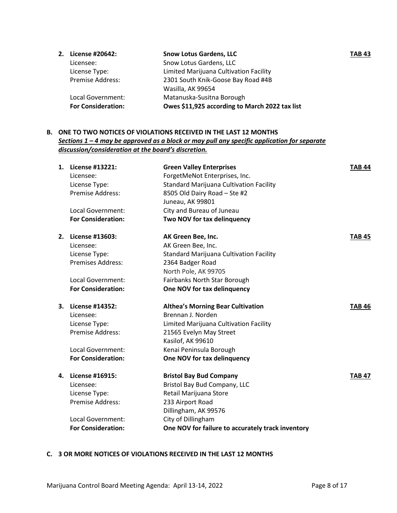| 2. License #20642:        | <b>Snow Lotus Gardens, LLC</b>                 | <b>TAB 43</b> |
|---------------------------|------------------------------------------------|---------------|
| Licensee:                 | Snow Lotus Gardens, LLC                        |               |
| License Type:             | Limited Marijuana Cultivation Facility         |               |
| <b>Premise Address:</b>   | 2301 South Knik-Goose Bay Road #4B             |               |
|                           | Wasilla, AK 99654                              |               |
| Local Government:         | Matanuska-Susitna Borough                      |               |
| <b>For Consideration:</b> | Owes \$11,925 according to March 2022 tax list |               |

# **B. ONE TO TWO NOTICES OF VIOLATIONS RECEIVED IN THE LAST 12 MONTHS** *Sections 1 – 4 may be approved as a block or may pull any specific application for separate discussion/consideration at the board's discretion.*

| 1. | License #13221:                   | <b>Green Valley Enterprises</b>                   | <b>TAB 44</b> |
|----|-----------------------------------|---------------------------------------------------|---------------|
|    | Licensee:                         | ForgetMeNot Enterprises, Inc.                     |               |
|    | License Type:                     | <b>Standard Marijuana Cultivation Facility</b>    |               |
|    | Premise Address:                  | 8505 Old Dairy Road - Ste #2                      |               |
|    |                                   | Juneau, AK 99801                                  |               |
|    | Local Government:                 | City and Bureau of Juneau                         |               |
|    | <b>For Consideration:</b>         | Two NOV for tax delinquency                       |               |
| 2. | License #13603:                   | AK Green Bee, Inc.                                | <b>TAB 45</b> |
|    | Licensee:                         | AK Green Bee, Inc.                                |               |
|    | License Type:                     | <b>Standard Marijuana Cultivation Facility</b>    |               |
|    | Premises Address:                 | 2364 Badger Road                                  |               |
|    |                                   | North Pole, AK 99705                              |               |
|    | Local Government:                 | Fairbanks North Star Borough                      |               |
|    | <b>For Consideration:</b>         | One NOV for tax delinquency                       |               |
| 3. | License #14352:                   | <b>Althea's Morning Bear Cultivation</b>          | <b>TAB 46</b> |
|    | Licensee:                         | Brennan J. Norden                                 |               |
|    | License Type:                     | Limited Marijuana Cultivation Facility            |               |
|    | <b>Premise Address:</b>           | 21565 Evelyn May Street                           |               |
|    |                                   | Kasilof, AK 99610                                 |               |
|    | Local Government:                 |                                                   |               |
|    |                                   | Kenai Peninsula Borough                           |               |
|    | <b>For Consideration:</b>         | One NOV for tax delinquency                       |               |
| 4. | License #16915:                   | <b>Bristol Bay Bud Company</b>                    | <b>TAB 47</b> |
|    | Licensee:                         | Bristol Bay Bud Company, LLC                      |               |
|    |                                   | Retail Marijuana Store                            |               |
|    | License Type:<br>Premise Address: | 233 Airport Road                                  |               |
|    |                                   | Dillingham, AK 99576                              |               |
|    | Local Government:                 | City of Dillingham                                |               |
|    | <b>For Consideration:</b>         | One NOV for failure to accurately track inventory |               |

# **C. 3 OR MORE NOTICES OF VIOLATIONS RECEIVED IN THE LAST 12 MONTHS**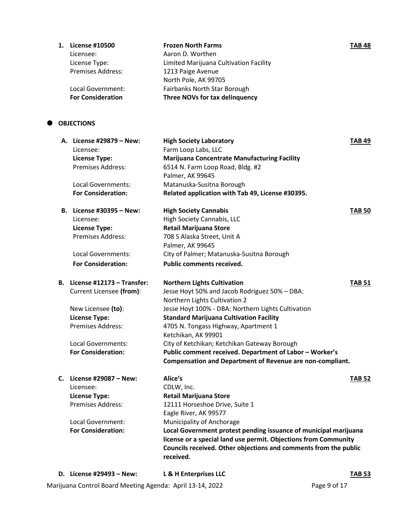| <b>License #10500</b>    | <b>Frozen North Farms</b>              | <b>TAB 48</b> |
|--------------------------|----------------------------------------|---------------|
| Licensee:                | Aaron D. Worthen                       |               |
| License Type:            | Limited Marijuana Cultivation Facility |               |
| <b>Premises Address:</b> | 1213 Paige Avenue                      |               |
|                          | North Pole, AK 99705                   |               |
| Local Government:        | Fairbanks North Star Borough           |               |
| <b>For Consideration</b> | Three NOVs for tax delinquency         |               |

# **OBJECTIONS**

| A. License #29879 – New:<br>Licensee:<br><b>License Type:</b><br>Premises Address:<br>Local Governments:<br><b>For Consideration:</b> | <b>High Society Laboratory</b><br>Farm Loop Labs, LLC<br><b>Marijuana Concentrate Manufacturing Facility</b><br>6514 N. Farm Loop Road, Bldg. #2<br>Palmer, AK 99645<br>Matanuska-Susitna Borough | TAB 49        |
|---------------------------------------------------------------------------------------------------------------------------------------|---------------------------------------------------------------------------------------------------------------------------------------------------------------------------------------------------|---------------|
|                                                                                                                                       | Related application with Tab 49, License #30395.                                                                                                                                                  |               |
| B. License #30395 - New:                                                                                                              | <b>High Society Cannabis</b>                                                                                                                                                                      | <b>TAB 50</b> |
| Licensee:                                                                                                                             | High Society Cannabis, LLC                                                                                                                                                                        |               |
| <b>License Type:</b>                                                                                                                  | <b>Retail Marijuana Store</b>                                                                                                                                                                     |               |
| Premises Address:                                                                                                                     | 708 S Alaska Street, Unit A                                                                                                                                                                       |               |
|                                                                                                                                       | Palmer, AK 99645                                                                                                                                                                                  |               |
| Local Governments:                                                                                                                    | City of Palmer; Matanuska-Susitna Borough                                                                                                                                                         |               |
| <b>For Consideration:</b>                                                                                                             | <b>Public comments received.</b>                                                                                                                                                                  |               |
| B. License #12173 – Transfer:                                                                                                         | <b>Northern Lights Cultivation</b>                                                                                                                                                                | <b>TAB 51</b> |
| Current Licensee (from):                                                                                                              | Jesse Hoyt 50% and Jacob Rodriguez 50% - DBA:                                                                                                                                                     |               |
|                                                                                                                                       | Northern Lights Cultivation 2                                                                                                                                                                     |               |
| New Licensee (to):                                                                                                                    | Jesse Hoyt 100% - DBA: Northern Lights Cultivation                                                                                                                                                |               |
| <b>License Type:</b>                                                                                                                  | <b>Standard Marijuana Cultivation Facility</b>                                                                                                                                                    |               |
| <b>Premises Address:</b>                                                                                                              | 4705 N. Tongass Highway, Apartment 1                                                                                                                                                              |               |
|                                                                                                                                       | Ketchikan, AK 99901                                                                                                                                                                               |               |
| Local Governments:                                                                                                                    | City of Ketchikan; Ketchikan Gateway Borough                                                                                                                                                      |               |
| <b>For Consideration:</b>                                                                                                             | Public comment received. Department of Labor - Worker's                                                                                                                                           |               |
|                                                                                                                                       | Compensation and Department of Revenue are non-compliant.                                                                                                                                         |               |
| C. License #29087 - New:                                                                                                              | Alice's                                                                                                                                                                                           | <b>TAB 52</b> |
| Licensee:                                                                                                                             | CDLW, Inc.                                                                                                                                                                                        |               |
| <b>License Type:</b>                                                                                                                  | <b>Retail Marijuana Store</b>                                                                                                                                                                     |               |
| Premises Address:                                                                                                                     | 12111 Horseshoe Drive, Suite 1                                                                                                                                                                    |               |
|                                                                                                                                       | Eagle River, AK 99577                                                                                                                                                                             |               |
| Local Government:                                                                                                                     | Municipality of Anchorage                                                                                                                                                                         |               |
| <b>For Consideration:</b>                                                                                                             | Local Government protest pending issuance of municipal marijuana                                                                                                                                  |               |
|                                                                                                                                       | license or a special land use permit. Objections from Community                                                                                                                                   |               |
|                                                                                                                                       | Councils received. Other objections and comments from the public<br>received.                                                                                                                     |               |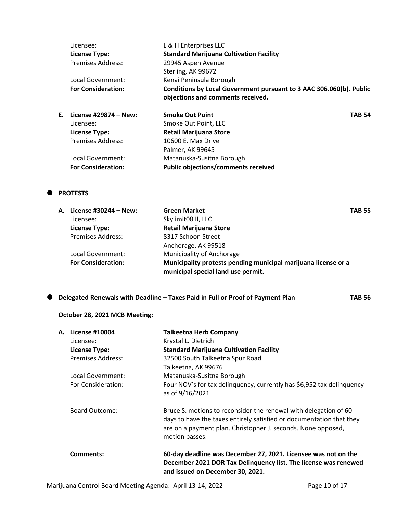| Licensee:                 | L & H Enterprises LLC                                                                                    |               |
|---------------------------|----------------------------------------------------------------------------------------------------------|---------------|
| <b>License Type:</b>      | <b>Standard Marijuana Cultivation Facility</b>                                                           |               |
| Premises Address:         | 29945 Aspen Avenue                                                                                       |               |
|                           | Sterling, AK 99672                                                                                       |               |
| Local Government:         | Kenai Peninsula Borough                                                                                  |               |
| <b>For Consideration:</b> | Conditions by Local Government pursuant to 3 AAC 306.060(b). Public<br>objections and comments received. |               |
| E. License #29874 - New:  | <b>Smoke Out Point</b>                                                                                   | <b>TAB 54</b> |
| Licensee:                 | Smoke Out Point, LLC                                                                                     |               |
| <b>License Type:</b>      | <b>Retail Marijuana Store</b>                                                                            |               |
| Premises Address:         | 10600 E. Max Drive                                                                                       |               |

Palmer, AK 99645 Local Government: Matanuska-Susitna Borough **For Consideration: Public objections/comments received**

# **PROTESTS**

| A. License #30244 – New:  | <b>Green Market</b>                                            | <b>TAB 55</b> |
|---------------------------|----------------------------------------------------------------|---------------|
| Licensee:                 | Skylimit08 II, LLC                                             |               |
| <b>License Type:</b>      | <b>Retail Marijuana Store</b>                                  |               |
| <b>Premises Address:</b>  | 8317 Schoon Street                                             |               |
|                           | Anchorage, AK 99518                                            |               |
| Local Government:         | Municipality of Anchorage                                      |               |
| <b>For Consideration:</b> | Municipality protests pending municipal marijuana license or a |               |
|                           | municipal special land use permit.                             |               |

**O** Delegated Renewals with Deadline – Taxes Paid in Full or Proof of Payment Plan TAB 56

## **October 28, 2021 MCB Meeting**:

| <b>A. License #10004</b> | <b>Talkeetna Herb Company</b>                                                                                                                                                                                              |
|--------------------------|----------------------------------------------------------------------------------------------------------------------------------------------------------------------------------------------------------------------------|
| Licensee:                | Krystal L. Dietrich                                                                                                                                                                                                        |
| <b>License Type:</b>     | <b>Standard Marijuana Cultivation Facility</b>                                                                                                                                                                             |
| <b>Premises Address:</b> | 32500 South Talkeetna Spur Road                                                                                                                                                                                            |
|                          | Talkeetna, AK 99676                                                                                                                                                                                                        |
| Local Government:        | Matanuska-Susitna Borough                                                                                                                                                                                                  |
| For Consideration:       | Four NOV's for tax delinguency, currently has \$6,952 tax delinguency<br>as of 9/16/2021                                                                                                                                   |
| <b>Board Outcome:</b>    | Bruce S. motions to reconsider the renewal with delegation of 60<br>days to have the taxes entirely satisfied or documentation that they<br>are on a payment plan. Christopher J. seconds. None opposed,<br>motion passes. |
| Comments:                | 60-day deadline was December 27, 2021. Licensee was not on the<br>December 2021 DOR Tax Delinquency list. The license was renewed<br>and issued on December 30. 2021.                                                      |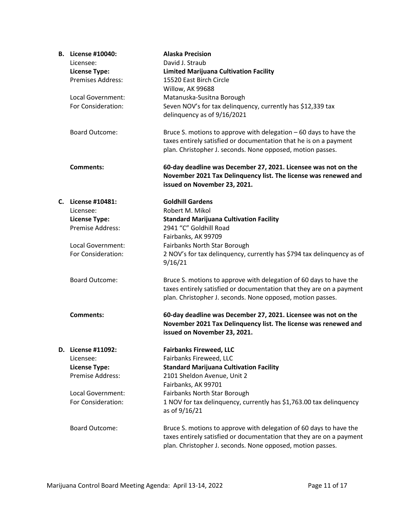| <b>B.</b> License #10040: | <b>Alaska Precision</b>                                                                                                                                                                                  |
|---------------------------|----------------------------------------------------------------------------------------------------------------------------------------------------------------------------------------------------------|
| Licensee:                 | David J. Straub                                                                                                                                                                                          |
| <b>License Type:</b>      | <b>Limited Marijuana Cultivation Facility</b>                                                                                                                                                            |
| <b>Premises Address:</b>  | 15520 East Birch Circle                                                                                                                                                                                  |
|                           | Willow, AK 99688                                                                                                                                                                                         |
| Local Government:         | Matanuska-Susitna Borough                                                                                                                                                                                |
| For Consideration:        | Seven NOV's for tax delinquency, currently has \$12,339 tax                                                                                                                                              |
|                           | delinquency as of 9/16/2021                                                                                                                                                                              |
| <b>Board Outcome:</b>     | Bruce S. motions to approve with delegation $-60$ days to have the                                                                                                                                       |
|                           | taxes entirely satisfied or documentation that he is on a payment                                                                                                                                        |
|                           | plan. Christopher J. seconds. None opposed, motion passes.                                                                                                                                               |
| <b>Comments:</b>          | 60-day deadline was December 27, 2021. Licensee was not on the<br>November 2021 Tax Delinquency list. The license was renewed and<br>issued on November 23, 2021.                                        |
| C. License #10481:        | <b>Goldhill Gardens</b>                                                                                                                                                                                  |
| Licensee:                 | Robert M. Mikol                                                                                                                                                                                          |
| <b>License Type:</b>      | <b>Standard Marijuana Cultivation Facility</b>                                                                                                                                                           |
| <b>Premise Address:</b>   | 2941 "C" Goldhill Road                                                                                                                                                                                   |
|                           | Fairbanks, AK 99709                                                                                                                                                                                      |
| Local Government:         | Fairbanks North Star Borough                                                                                                                                                                             |
| For Consideration:        | 2 NOV's for tax delinquency, currently has \$794 tax delinquency as of<br>9/16/21                                                                                                                        |
| <b>Board Outcome:</b>     | Bruce S. motions to approve with delegation of 60 days to have the                                                                                                                                       |
|                           | taxes entirely satisfied or documentation that they are on a payment<br>plan. Christopher J. seconds. None opposed, motion passes.                                                                       |
| <b>Comments:</b>          | 60-day deadline was December 27, 2021. Licensee was not on the                                                                                                                                           |
|                           | November 2021 Tax Delinquency list. The license was renewed and<br>issued on November 23, 2021.                                                                                                          |
| D. License #11092:        | <b>Fairbanks Fireweed, LLC</b>                                                                                                                                                                           |
| Licensee:                 | Fairbanks Fireweed, LLC                                                                                                                                                                                  |
| <b>License Type:</b>      | <b>Standard Marijuana Cultivation Facility</b>                                                                                                                                                           |
| <b>Premise Address:</b>   | 2101 Sheldon Avenue, Unit 2                                                                                                                                                                              |
|                           | Fairbanks, AK 99701                                                                                                                                                                                      |
| Local Government:         | Fairbanks North Star Borough                                                                                                                                                                             |
| For Consideration:        | 1 NOV for tax delinguency, currently has \$1,763.00 tax delinguency<br>as of 9/16/21                                                                                                                     |
| <b>Board Outcome:</b>     | Bruce S. motions to approve with delegation of 60 days to have the<br>taxes entirely satisfied or documentation that they are on a payment<br>plan. Christopher J. seconds. None opposed, motion passes. |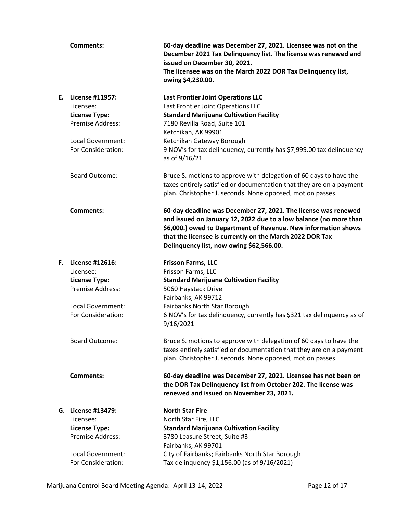|    | <b>Comments:</b>                                                                                     | 60-day deadline was December 27, 2021. Licensee was not on the<br>December 2021 Tax Delinquency list. The license was renewed and<br>issued on December 30, 2021.<br>The licensee was on the March 2022 DOR Tax Delinquency list,<br>owing \$4,230.00.                                                        |
|----|------------------------------------------------------------------------------------------------------|---------------------------------------------------------------------------------------------------------------------------------------------------------------------------------------------------------------------------------------------------------------------------------------------------------------|
| E. | License #11957:<br>Licensee:<br><b>License Type:</b><br>Premise Address:                             | <b>Last Frontier Joint Operations LLC</b><br>Last Frontier Joint Operations LLC<br><b>Standard Marijuana Cultivation Facility</b><br>7180 Revilla Road, Suite 101<br>Ketchikan, AK 99901                                                                                                                      |
|    | Local Government:<br>For Consideration:                                                              | Ketchikan Gateway Borough<br>9 NOV's for tax delinquency, currently has \$7,999.00 tax delinquency<br>as of 9/16/21                                                                                                                                                                                           |
|    | <b>Board Outcome:</b>                                                                                | Bruce S. motions to approve with delegation of 60 days to have the<br>taxes entirely satisfied or documentation that they are on a payment<br>plan. Christopher J. seconds. None opposed, motion passes.                                                                                                      |
|    | <b>Comments:</b>                                                                                     | 60-day deadline was December 27, 2021. The license was renewed<br>and issued on January 12, 2022 due to a low balance (no more than<br>\$6,000.) owed to Department of Revenue. New information shows<br>that the licensee is currently on the March 2022 DOR Tax<br>Delinquency list, now owing \$62,566.00. |
| F. | License #12616:<br>Licensee:<br><b>License Type:</b><br>Premise Address:                             | <b>Frisson Farms, LLC</b><br>Frisson Farms, LLC<br><b>Standard Marijuana Cultivation Facility</b><br>5060 Haystack Drive<br>Fairbanks, AK 99712                                                                                                                                                               |
|    | Local Government:<br>For Consideration:                                                              | Fairbanks North Star Borough<br>6 NOV's for tax delinquency, currently has \$321 tax delinquency as of<br>9/16/2021                                                                                                                                                                                           |
|    | <b>Board Outcome:</b>                                                                                | Bruce S. motions to approve with delegation of 60 days to have the<br>taxes entirely satisfied or documentation that they are on a payment<br>plan. Christopher J. seconds. None opposed, motion passes.                                                                                                      |
|    | <b>Comments:</b>                                                                                     | 60-day deadline was December 27, 2021. Licensee has not been on<br>the DOR Tax Delinquency list from October 202. The license was<br>renewed and issued on November 23, 2021.                                                                                                                                 |
| G. | <b>License #13479:</b><br>Licensee:<br><b>License Type:</b><br>Premise Address:<br>Local Government: | <b>North Star Fire</b><br>North Star Fire, LLC<br><b>Standard Marijuana Cultivation Facility</b><br>3780 Leasure Street, Suite #3<br>Fairbanks, AK 99701<br>City of Fairbanks; Fairbanks North Star Borough                                                                                                   |
|    | For Consideration:                                                                                   | Tax delinquency \$1,156.00 (as of 9/16/2021)                                                                                                                                                                                                                                                                  |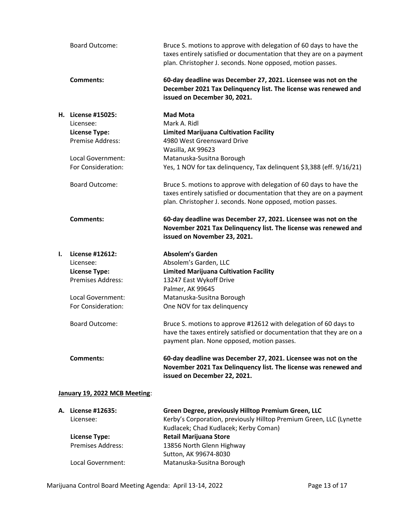|    | <b>Board Outcome:</b>                                                                                 | Bruce S. motions to approve with delegation of 60 days to have the<br>taxes entirely satisfied or documentation that they are on a payment<br>plan. Christopher J. seconds. None opposed, motion passes. |
|----|-------------------------------------------------------------------------------------------------------|----------------------------------------------------------------------------------------------------------------------------------------------------------------------------------------------------------|
|    | Comments:                                                                                             | 60-day deadline was December 27, 2021. Licensee was not on the<br>December 2021 Tax Delinquency list. The license was renewed and<br>issued on December 30, 2021.                                        |
|    | H. License #15025:<br>Licensee:<br><b>License Type:</b><br><b>Premise Address:</b>                    | <b>Mad Mota</b><br>Mark A. Ridl<br><b>Limited Marijuana Cultivation Facility</b><br>4980 West Greensward Drive<br>Wasilla, AK 99623                                                                      |
|    | Local Government:<br>For Consideration:                                                               | Matanuska-Susitna Borough<br>Yes, 1 NOV for tax delinquency, Tax delinquent \$3,388 (eff. 9/16/21)                                                                                                       |
|    | <b>Board Outcome:</b>                                                                                 | Bruce S. motions to approve with delegation of 60 days to have the<br>taxes entirely satisfied or documentation that they are on a payment<br>plan. Christopher J. seconds. None opposed, motion passes. |
|    | <b>Comments:</b>                                                                                      | 60-day deadline was December 27, 2021. Licensee was not on the<br>November 2021 Tax Delinquency list. The license was renewed and<br>issued on November 23, 2021.                                        |
| I. | License #12612:<br>Licensee:<br><b>License Type:</b><br><b>Premises Address:</b><br>Local Government: | <b>Absolem's Garden</b><br>Absolem's Garden, LLC<br><b>Limited Marijuana Cultivation Facility</b><br>13247 East Wykoff Drive<br>Palmer, AK 99645<br>Matanuska-Susitna Borough                            |
|    | For Consideration:                                                                                    | One NOV for tax delinquency                                                                                                                                                                              |
|    | <b>Board Outcome:</b>                                                                                 | Bruce S. motions to approve #12612 with delegation of 60 days to<br>have the taxes entirely satisfied or documentation that they are on a<br>payment plan. None opposed, motion passes.                  |
|    | <b>Comments:</b>                                                                                      | 60-day deadline was December 27, 2021. Licensee was not on the<br>November 2021 Tax Delinquency list. The license was renewed and<br>issued on December 22, 2021.                                        |
|    | January 19, 2022 MCB Meeting:                                                                         |                                                                                                                                                                                                          |
|    | A. License #12635:<br>Licensee:                                                                       | Green Degree, previously Hilltop Premium Green, LLC<br>Kerby's Corporation, previously Hilltop Premium Green, LLC (Lynette<br>Kudlacek; Chad Kudlacek; Kerby Coman)                                      |
|    | <b>License Type:</b><br><b>Premises Address:</b>                                                      | <b>Retail Marijuana Store</b><br>13856 North Glenn Highway<br>Sutton, AK 99674-8030                                                                                                                      |

Marijuana Control Board Meeting Agenda: April 13-14, 2022 **Page 13 of 17** Page 13 of 17

Local Government: Matanuska-Susitna Borough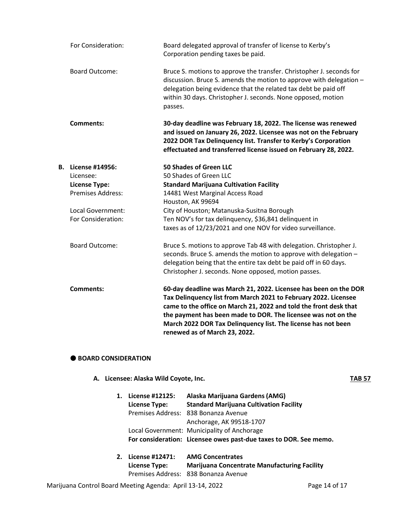|    | For Consideration:    | Board delegated approval of transfer of license to Kerby's<br>Corporation pending taxes be paid.                                                                                                                                                                                                                                                                            |
|----|-----------------------|-----------------------------------------------------------------------------------------------------------------------------------------------------------------------------------------------------------------------------------------------------------------------------------------------------------------------------------------------------------------------------|
|    | <b>Board Outcome:</b> | Bruce S. motions to approve the transfer. Christopher J. seconds for<br>discussion. Bruce S. amends the motion to approve with delegation -<br>delegation being evidence that the related tax debt be paid off<br>within 30 days. Christopher J. seconds. None opposed, motion<br>passes.                                                                                   |
|    | <b>Comments:</b>      | 30-day deadline was February 18, 2022. The license was renewed<br>and issued on January 26, 2022. Licensee was not on the February<br>2022 DOR Tax Delinquency list. Transfer to Kerby's Corporation<br>effectuated and transferred license issued on February 28, 2022.                                                                                                    |
| В. | License #14956:       | 50 Shades of Green LLC                                                                                                                                                                                                                                                                                                                                                      |
|    | Licensee:             | 50 Shades of Green LLC                                                                                                                                                                                                                                                                                                                                                      |
|    | <b>License Type:</b>  | <b>Standard Marijuana Cultivation Facility</b>                                                                                                                                                                                                                                                                                                                              |
|    | Premises Address:     | 14481 West Marginal Access Road                                                                                                                                                                                                                                                                                                                                             |
|    |                       | Houston, AK 99694                                                                                                                                                                                                                                                                                                                                                           |
|    | Local Government:     | City of Houston; Matanuska-Susitna Borough                                                                                                                                                                                                                                                                                                                                  |
|    | For Consideration:    | Ten NOV's for tax delinquency, \$36,841 delinquent in                                                                                                                                                                                                                                                                                                                       |
|    |                       | taxes as of 12/23/2021 and one NOV for video surveillance.                                                                                                                                                                                                                                                                                                                  |
|    | <b>Board Outcome:</b> | Bruce S. motions to approve Tab 48 with delegation. Christopher J.<br>seconds. Bruce S. amends the motion to approve with delegation -<br>delegation being that the entire tax debt be paid off in 60 days.<br>Christopher J. seconds. None opposed, motion passes.                                                                                                         |
|    | <b>Comments:</b>      | 60-day deadline was March 21, 2022. Licensee has been on the DOR<br>Tax Delinquency list from March 2021 to February 2022. Licensee<br>came to the office on March 21, 2022 and told the front desk that<br>the payment has been made to DOR. The licensee was not on the<br>March 2022 DOR Tax Delinquency list. The license has not been<br>renewed as of March 23, 2022. |

## $\bullet$  **BOARD CONSIDERATION**

A. Licensee: Alaska Wild Coyote, Inc. **TAB 57** 

**1. License #12125: Alaska Marijuana Gardens (AMG) License Type: Standard Marijuana Cultivation Facility** Premises Address: 838 Bonanza Avenue Anchorage, AK 99518-1707 Local Government: Municipality of Anchorage **For consideration: Licensee owes past-due taxes to DOR. See memo.**

| 2. License #12471: | <b>AMG Concentrates</b>                             |
|--------------------|-----------------------------------------------------|
| License Type:      | <b>Marijuana Concentrate Manufacturing Facility</b> |
|                    | Premises Address: 838 Bonanza Avenue                |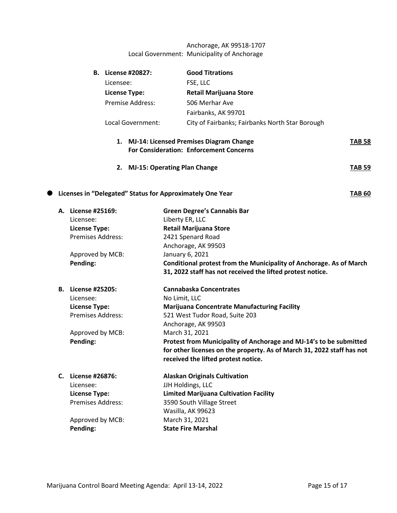# Anchorage, AK 99518-1707 Local Government: Municipality of Anchorage

| <b>B.</b> License #20827:                 | <b>Good Titrations</b>                                                                           |        |
|-------------------------------------------|--------------------------------------------------------------------------------------------------|--------|
| Licensee:                                 | FSE, LLC                                                                                         |        |
| License Type:                             | <b>Retail Marijuana Store</b>                                                                    |        |
| Premise Address:                          | 506 Merhar Ave                                                                                   |        |
|                                           | Fairbanks, AK 99701                                                                              |        |
| Local Government:                         | City of Fairbanks; Fairbanks North Star Borough                                                  |        |
| 1.                                        | <b>MJ-14: Licensed Premises Diagram Change</b><br><b>For Consideration: Enforcement Concerns</b> |        |
| <b>MJ-15: Operating Plan Change</b><br>2. |                                                                                                  | TAB 59 |
|                                           |                                                                                                  |        |

# **C** Licenses in "Delegated" Status for Approximately One Year **TAB 60**

|    | A. License #25169:<br>Licensee: | <b>Green Degree's Cannabis Bar</b><br>Liberty ER, LLC                  |
|----|---------------------------------|------------------------------------------------------------------------|
|    | <b>License Type:</b>            | <b>Retail Marijuana Store</b>                                          |
|    | <b>Premises Address:</b>        | 2421 Spenard Road                                                      |
|    |                                 |                                                                        |
|    |                                 | Anchorage, AK 99503                                                    |
|    | Approved by MCB:                | January 6, 2021                                                        |
|    | Pending:                        | Conditional protest from the Municipality of Anchorage. As of March    |
|    |                                 | 31, 2022 staff has not received the lifted protest notice.             |
| В. | License #25205:                 | Cannabaska Concentrates                                                |
|    | Licensee:                       | No Limit, LLC                                                          |
|    | <b>License Type:</b>            | <b>Marijuana Concentrate Manufacturing Facility</b>                    |
|    | <b>Premises Address:</b>        | 521 West Tudor Road, Suite 203                                         |
|    |                                 | Anchorage, AK 99503                                                    |
|    | Approved by MCB:                | March 31, 2021                                                         |
|    | Pending:                        | Protest from Municipality of Anchorage and MJ-14's to be submitted     |
|    |                                 | for other licenses on the property. As of March 31, 2022 staff has not |
|    |                                 | received the lifted protest notice.                                    |
| C. | License #26876:                 | <b>Alaskan Originals Cultivation</b>                                   |
|    | Licensee:                       | JJH Holdings, LLC                                                      |
|    | <b>License Type:</b>            | <b>Limited Marijuana Cultivation Facility</b>                          |
|    | <b>Premises Address:</b>        | 3590 South Village Street                                              |
|    |                                 | Wasilla, AK 99623                                                      |
|    | Approved by MCB:                | March 31, 2021                                                         |
|    | Pending:                        | <b>State Fire Marshal</b>                                              |
|    |                                 |                                                                        |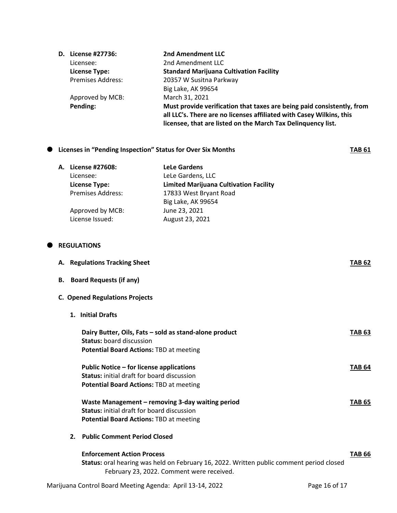| D. License #27736:       | 2nd Amendment LLC                                                                                                                                                                                              |
|--------------------------|----------------------------------------------------------------------------------------------------------------------------------------------------------------------------------------------------------------|
| Licensee:                | 2nd Amendment LLC                                                                                                                                                                                              |
| <b>License Type:</b>     | <b>Standard Marijuana Cultivation Facility</b>                                                                                                                                                                 |
| <b>Premises Address:</b> | 20357 W Susitna Parkway                                                                                                                                                                                        |
|                          | Big Lake, AK 99654                                                                                                                                                                                             |
| Approved by MCB:         | March 31, 2021                                                                                                                                                                                                 |
| Pending:                 | Must provide verification that taxes are being paid consistently, from<br>all LLC's. There are no licenses affiliated with Casey Wilkins, this<br>licensee, that are listed on the March Tax Delinquency list. |

# **C** Licenses in "Pending Inspection" Status for Over Six Months **TAB 61**

**A. License #27608: LeLe Gardens** Licensee: LeLe Gardens, LLC **License Type: Limited Marijuana Cultivation Facility** 17833 West Bryant Road Big Lake, AK 99654 Approved by MCB: June 23, 2021 License Issued: August 23, 2021

#### $\bullet$  REGULATIONS

|    | A. Regulations Tracking Sheet                                                                                                                                              | <b>TAB 62</b> |
|----|----------------------------------------------------------------------------------------------------------------------------------------------------------------------------|---------------|
| В. | <b>Board Requests (if any)</b>                                                                                                                                             |               |
|    | <b>C. Opened Regulations Projects</b>                                                                                                                                      |               |
|    | 1. Initial Drafts                                                                                                                                                          |               |
|    | Dairy Butter, Oils, Fats - sold as stand-alone product<br><b>Status: board discussion</b><br><b>Potential Board Actions: TBD at meeting</b>                                | <b>TAB 63</b> |
|    | Public Notice – for license applications<br><b>Status:</b> initial draft for board discussion<br><b>Potential Board Actions: TBD at meeting</b>                            | <b>TAB 64</b> |
|    | Waste Management - removing 3-day waiting period<br><b>Status:</b> initial draft for board discussion<br><b>Potential Board Actions: TBD at meeting</b>                    | <b>TAB 65</b> |
|    | 2. Public Comment Period Closed                                                                                                                                            |               |
|    | <b>Enforcement Action Process</b><br>Status: oral hearing was held on February 16, 2022. Written public comment period closed<br>February 23, 2022. Comment were received. | <b>TAB 66</b> |
|    | Marijuana Control Board Meeting Agenda: April 13-14, 2022                                                                                                                  | Page 16 of 17 |